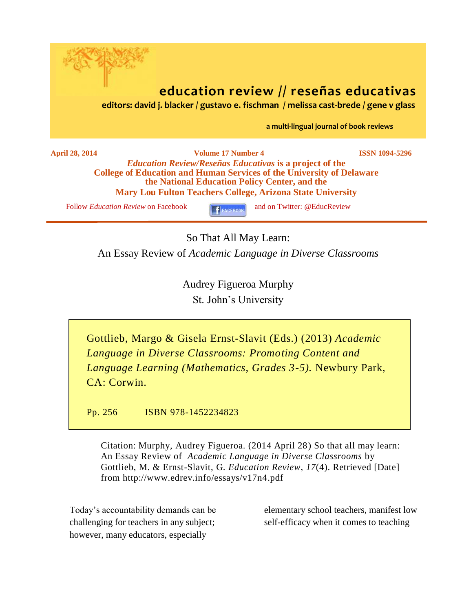

So That All May Learn: An Essay Review of *Academic Language in Diverse Classrooms*

> Audrey Figueroa Murphy St. John's University

Gottlieb, Margo & Gisela Ernst-Slavit (Eds.) (2013) *Academic Language in Diverse Classrooms: Promoting Content and Language Learning (Mathematics, Grades 3-5).* Newbury Park, CA: Corwin.

Pp. 256 ISBN 978-1452234823

Citation: Murphy, Audrey Figueroa. (2014 April 28) So that all may learn: An Essay Review of *Academic Language in Diverse Classrooms* by Gottlieb, M. & Ernst-Slavit, G. *Education Review*, *17*(4). Retrieved [Date] from http://www.edrev.info/essays/v17n4.pdf

Today's accountability demands can be challenging for teachers in any subject; however, many educators, especially

elementary school teachers, manifest low self-efficacy when it comes to teaching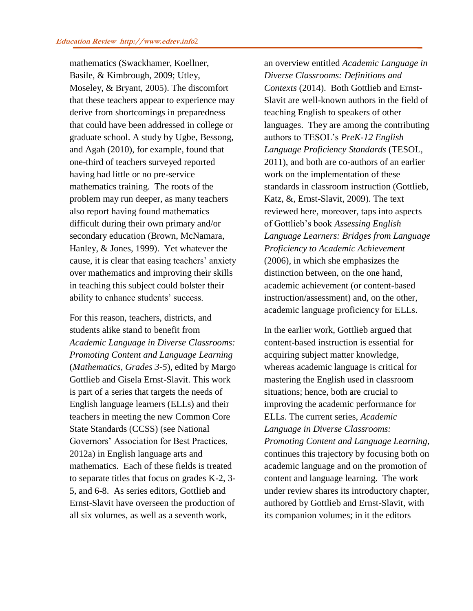mathematics (Swackhamer, Koellner, Basile, & Kimbrough, 2009; Utley, Moseley, & Bryant, 2005). The discomfort that these teachers appear to experience may derive from shortcomings in preparedness that could have been addressed in college or graduate school. A study by Ugbe, Bessong, and Agah (2010), for example, found that one-third of teachers surveyed reported having had little or no pre-service mathematics training. The roots of the problem may run deeper, as many teachers also report having found mathematics difficult during their own primary and/or secondary education (Brown, McNamara, Hanley, & Jones, 1999). Yet whatever the cause, it is clear that easing teachers' anxiety over mathematics and improving their skills in teaching this subject could bolster their ability to enhance students' success.

For this reason, teachers, districts, and students alike stand to benefit from *Academic Language in Diverse Classrooms: Promoting Content and Language Learning*  (*Mathematics, Grades 3-5*), edited by Margo Gottlieb and Gisela Ernst-Slavit. This work is part of a series that targets the needs of English language learners (ELLs) and their teachers in meeting the new Common Core State Standards (CCSS) (see National Governors' Association for Best Practices, 2012a) in English language arts and mathematics. Each of these fields is treated to separate titles that focus on grades K-2, 3- 5, and 6-8. As series editors, Gottlieb and Ernst-Slavit have overseen the production of all six volumes, as well as a seventh work,

an overview entitled *Academic Language in Diverse Classrooms: Definitions and Contexts* (2014). Both Gottlieb and Ernst-Slavit are well-known authors in the field of teaching English to speakers of other languages. They are among the contributing authors to TESOL's *PreK-12 English Language Proficiency Standards* (TESOL, 2011), and both are co-authors of an earlier work on the implementation of these standards in classroom instruction (Gottlieb, Katz, &, Ernst-Slavit, 2009). The text reviewed here, moreover, taps into aspects of Gottlieb's book *Assessing English Language Learners: Bridges from Language Proficiency to Academic Achievement* (2006), in which she emphasizes the distinction between, on the one hand, academic achievement (or content-based instruction/assessment) and, on the other, academic language proficiency for ELLs.

In the earlier work, Gottlieb argued that content-based instruction is essential for acquiring subject matter knowledge, whereas academic language is critical for mastering the English used in classroom situations; hence, both are crucial to improving the academic performance for ELLs. The current series, *Academic Language in Diverse Classrooms: Promoting Content and Language Learning,* continues this trajectory by focusing both on academic language and on the promotion of content and language learning. The work under review shares its introductory chapter, authored by Gottlieb and Ernst-Slavit, with its companion volumes; in it the editors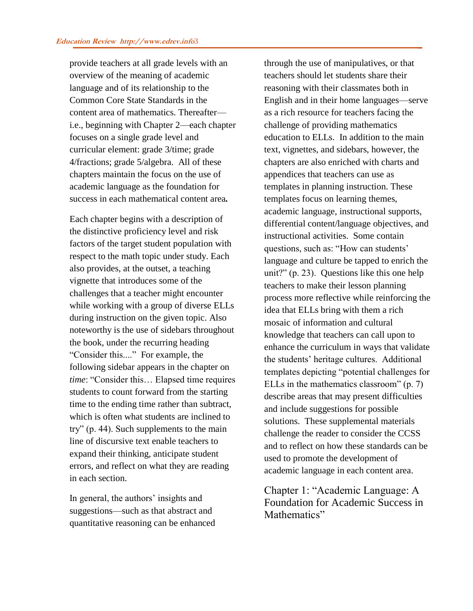provide teachers at all grade levels with an overview of the meaning of academic language and of its relationship to the Common Core State Standards in the content area of mathematics. Thereafter i.e., beginning with Chapter 2—each chapter focuses on a single grade level and curricular element: grade 3/time; grade 4/fractions; grade 5/algebra. All of these chapters maintain the focus on the use of academic language as the foundation for success in each mathematical content area*.*

Each chapter begins with a description of the distinctive proficiency level and risk factors of the target student population with respect to the math topic under study. Each also provides, at the outset, a teaching vignette that introduces some of the challenges that a teacher might encounter while working with a group of diverse ELLs during instruction on the given topic. Also noteworthy is the use of sidebars throughout the book, under the recurring heading "Consider this...." For example, the following sidebar appears in the chapter on *time*: "Consider this… Elapsed time requires students to count forward from the starting time to the ending time rather than subtract, which is often what students are inclined to try" (p. 44). Such supplements to the main line of discursive text enable teachers to expand their thinking, anticipate student errors, and reflect on what they are reading in each section.

In general, the authors' insights and suggestions—such as that abstract and quantitative reasoning can be enhanced

through the use of manipulatives, or that teachers should let students share their reasoning with their classmates both in English and in their home languages—serve as a rich resource for teachers facing the challenge of providing mathematics education to ELLs. In addition to the main text, vignettes, and sidebars, however, the chapters are also enriched with charts and appendices that teachers can use as templates in planning instruction. These templates focus on learning themes, academic language, instructional supports, differential content/language objectives, and instructional activities. Some contain questions, such as: "How can students' language and culture be tapped to enrich the unit?" (p. 23).Questions like this one help teachers to make their lesson planning process more reflective while reinforcing the idea that ELLs bring with them a rich mosaic of information and cultural knowledge that teachers can call upon to enhance the curriculum in ways that validate the students' heritage cultures. Additional templates depicting "potential challenges for ELLs in the mathematics classroom" (p. 7) describe areas that may present difficulties and include suggestions for possible solutions.These supplemental materials challenge the reader to consider the CCSS and to reflect on how these standards can be used to promote the development of academic language in each content area.

Chapter 1: "Academic Language: A Foundation for Academic Success in Mathematics"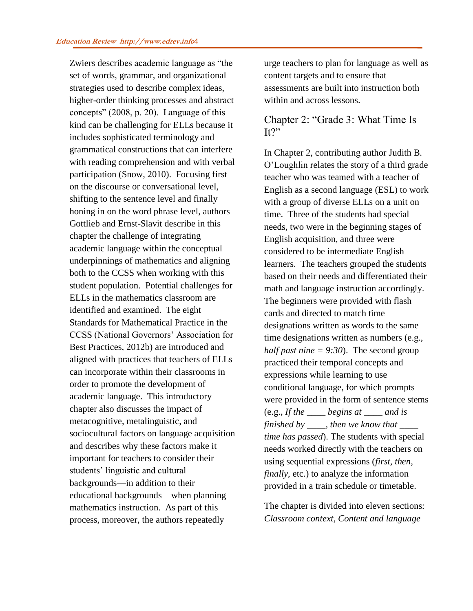Zwiers describes academic language as "the set of words, grammar, and organizational strategies used to describe complex ideas, higher-order thinking processes and abstract concepts" (2008, p. 20). Language of this kind can be challenging for ELLs because it includes sophisticated terminology and grammatical constructions that can interfere with reading comprehension and with verbal participation (Snow, 2010). Focusing first on the discourse or conversational level, shifting to the sentence level and finally honing in on the word phrase level, authors Gottlieb and Ernst-Slavit describe in this chapter the challenge of integrating academic language within the conceptual underpinnings of mathematics and aligning both to the CCSS when working with this student population. Potential challenges for ELLs in the mathematics classroom are identified and examined. The eight Standards for Mathematical Practice in the CCSS (National Governors' Association for Best Practices, 2012b) are introduced and aligned with practices that teachers of ELLs can incorporate within their classrooms in order to promote the development of academic language. This introductory chapter also discusses the impact of metacognitive, metalinguistic, and sociocultural factors on language acquisition and describes why these factors make it important for teachers to consider their students' linguistic and cultural backgrounds—in addition to their educational backgrounds—when planning mathematics instruction. As part of this process, moreover, the authors repeatedly

urge teachers to plan for language as well as content targets and to ensure that assessments are built into instruction both within and across lessons.

# Chapter 2: "Grade 3: What Time Is  $It?"$

In Chapter 2, contributing author Judith B. O'Loughlin relates the story of a third grade teacher who was teamed with a teacher of English as a second language (ESL) to work with a group of diverse ELLs on a unit on time. Three of the students had special needs, two were in the beginning stages of English acquisition, and three were considered to be intermediate English learners. The teachers grouped the students based on their needs and differentiated their math and language instruction accordingly. The beginners were provided with flash cards and directed to match time designations written as words to the same time designations written as numbers (e.g., *half past nine = 9:30*). The second group practiced their temporal concepts and expressions while learning to use conditional language, for which prompts were provided in the form of sentence stems (e.g., *If the \_\_\_\_ begins at \_\_\_\_ and is finished by \_\_\_\_, then we know that \_\_\_\_ time has passed*). The students with special needs worked directly with the teachers on using sequential expressions (*first, then, finally, etc.)* to analyze the information provided in a train schedule or timetable.

The chapter is divided into eleven sections: *Classroom context, Content and language*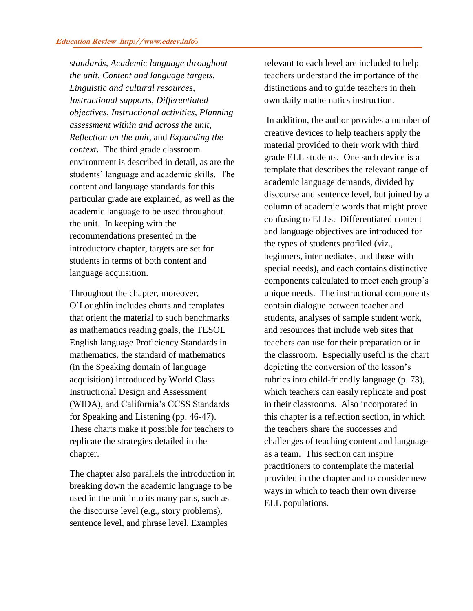*standards, Academic language throughout the unit, Content and language targets, Linguistic and cultural resources, Instructional supports, Differentiated objectives, Instructional activities, Planning assessment within and across the unit, Reflection on the unit,* and *Expanding the context***.**The third grade classroom environment is described in detail, as are the students' language and academic skills. The content and language standards for this particular grade are explained, as well as the academic language to be used throughout the unit. In keeping with the recommendations presented in the introductory chapter, targets are set for students in terms of both content and language acquisition.

Throughout the chapter, moreover, O'Loughlin includes charts and templates that orient the material to such benchmarks as mathematics reading goals, the TESOL English language Proficiency Standards in mathematics, the standard of mathematics (in the Speaking domain of language acquisition) introduced by World Class Instructional Design and Assessment (WIDA), and California's CCSS Standards for Speaking and Listening (pp. 46-47). These charts make it possible for teachers to replicate the strategies detailed in the chapter.

The chapter also parallels the introduction in breaking down the academic language to be used in the unit into its many parts, such as the discourse level (e.g., story problems), sentence level, and phrase level. Examples

relevant to each level are included to help teachers understand the importance of the distinctions and to guide teachers in their own daily mathematics instruction.

In addition, the author provides a number of creative devices to help teachers apply the material provided to their work with third grade ELL students. One such device is a template that describes the relevant range of academic language demands, divided by discourse and sentence level, but joined by a column of academic words that might prove confusing to ELLs. Differentiated content and language objectives are introduced for the types of students profiled (viz., beginners, intermediates, and those with special needs), and each contains distinctive components calculated to meet each group's unique needs. The instructional components contain dialogue between teacher and students, analyses of sample student work, and resources that include web sites that teachers can use for their preparation or in the classroom. Especially useful is the chart depicting the conversion of the lesson's rubrics into child-friendly language (p. 73), which teachers can easily replicate and post in their classrooms. Also incorporated in this chapter is a reflection section, in which the teachers share the successes and challenges of teaching content and language as a team. This section can inspire practitioners to contemplate the material provided in the chapter and to consider new ways in which to teach their own diverse ELL populations.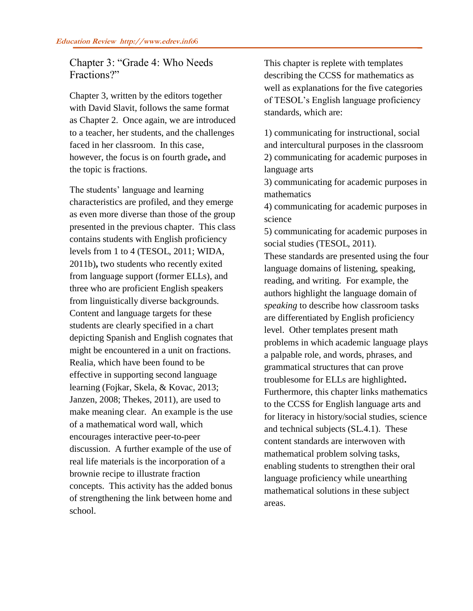# Chapter 3: "Grade 4: Who Needs Fractions?"

Chapter 3, written by the editors together with David Slavit, follows the same format as Chapter 2. Once again, we are introduced to a teacher, her students, and the challenges faced in her classroom. In this case, however, the focus is on fourth grade**,** and the topic is fractions.

The students' language and learning characteristics are profiled, and they emerge as even more diverse than those of the group presented in the previous chapter. This class contains students with English proficiency levels from 1 to 4 (TESOL, 2011; WIDA, 2011b)**,** two students who recently exited from language support (former ELLs), and three who are proficient English speakers from linguistically diverse backgrounds. Content and language targets for these students are clearly specified in a chart depicting Spanish and English cognates that might be encountered in a unit on fractions. Realia, which have been found to be effective in supporting second language learning (Fojkar, Skela, & Kovac, 2013; Janzen, 2008; Thekes, 2011), are used to make meaning clear. An example is the use of a mathematical word wall, which encourages interactive peer-to-peer discussion. A further example of the use of real life materials is the incorporation of a brownie recipe to illustrate fraction concepts. This activity has the added bonus of strengthening the link between home and school.

This chapter is replete with templates describing the CCSS for mathematics as well as explanations for the five categories of TESOL's English language proficiency standards, which are:

1) communicating for instructional, social and intercultural purposes in the classroom 2) communicating for academic purposes in language arts

3) communicating for academic purposes in mathematics

4) communicating for academic purposes in science

5) communicating for academic purposes in social studies (TESOL, 2011).

These standards are presented using the four language domains of listening, speaking, reading, and writing. For example, the authors highlight the language domain of *speaking* to describe how classroom tasks are differentiated by English proficiency level. Other templates present math problems in which academic language plays a palpable role, and words, phrases, and grammatical structures that can prove troublesome for ELLs are highlighted**.** Furthermore, this chapter links mathematics to the CCSS for English language arts and for literacy in history/social studies, science and technical subjects (SL.4.1). These content standards are interwoven with mathematical problem solving tasks, enabling students to strengthen their oral language proficiency while unearthing mathematical solutions in these subject areas.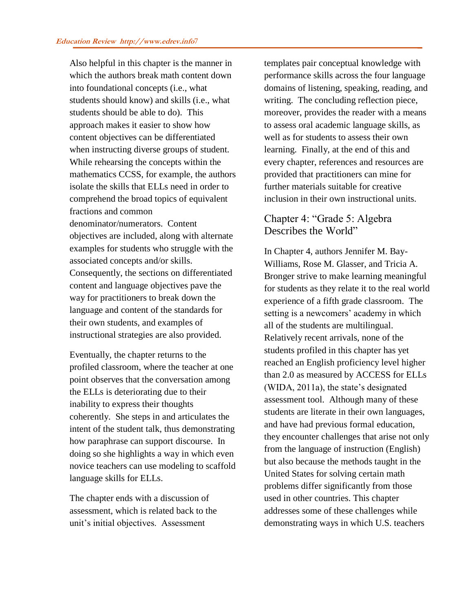Also helpful in this chapter is the manner in which the authors break math content down into foundational concepts (i.e., what students should know) and skills (i.e., what students should be able to do). This approach makes it easier to show how content objectives can be differentiated when instructing diverse groups of student. While rehearsing the concepts within the mathematics CCSS, for example, the authors isolate the skills that ELLs need in order to comprehend the broad topics of equivalent fractions and common denominator/numerators. Content objectives are included, along with alternate examples for students who struggle with the associated concepts and/or skills. Consequently, the sections on differentiated content and language objectives pave the way for practitioners to break down the language and content of the standards for their own students, and examples of instructional strategies are also provided.

Eventually, the chapter returns to the profiled classroom, where the teacher at one point observes that the conversation among the ELLs is deteriorating due to their inability to express their thoughts coherently. She steps in and articulates the intent of the student talk, thus demonstrating how paraphrase can support discourse. In doing so she highlights a way in which even novice teachers can use modeling to scaffold language skills for ELLs.

The chapter ends with a discussion of assessment, which is related back to the unit's initial objectives. Assessment

templates pair conceptual knowledge with performance skills across the four language domains of listening, speaking, reading, and writing. The concluding reflection piece, moreover, provides the reader with a means to assess oral academic language skills, as well as for students to assess their own learning. Finally, at the end of this and every chapter, references and resources are provided that practitioners can mine for further materials suitable for creative inclusion in their own instructional units.

# Chapter 4: "Grade 5: Algebra Describes the World"

In Chapter 4, authors Jennifer M. Bay-Williams, Rose M. Glasser, and Tricia A. Bronger strive to make learning meaningful for students as they relate it to the real world experience of a fifth grade classroom. The setting is a newcomers' academy in which all of the students are multilingual. Relatively recent arrivals, none of the students profiled in this chapter has yet reached an English proficiency level higher than 2.0 as measured by ACCESS for ELLs (WIDA, 2011a), the state's designated assessment tool. Although many of these students are literate in their own languages, and have had previous formal education, they encounter challenges that arise not only from the language of instruction (English) but also because the methods taught in the United States for solving certain math problems differ significantly from those used in other countries. This chapter addresses some of these challenges while demonstrating ways in which U.S. teachers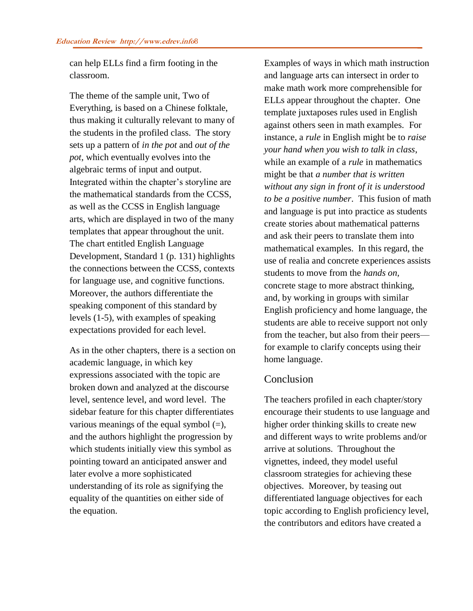can help ELLs find a firm footing in the classroom.

The theme of the sample unit, Two of Everything, is based on a Chinese folktale, thus making it culturally relevant to many of the students in the profiled class. The story sets up a pattern of *in the pot* and *out of the pot*, which eventually evolves into the algebraic terms of input and output. Integrated within the chapter's storyline are the mathematical standards from the CCSS, as well as the CCSS in English language arts, which are displayed in two of the many templates that appear throughout the unit. The chart entitled English Language Development, Standard 1 (p. 131) highlights the connections between the CCSS, contexts for language use, and cognitive functions. Moreover, the authors differentiate the speaking component of this standard by levels (1-5), with examples of speaking expectations provided for each level.

As in the other chapters, there is a section on academic language, in which key expressions associated with the topic are broken down and analyzed at the discourse level, sentence level, and word level. The sidebar feature for this chapter differentiates various meanings of the equal symbol  $(=)$ , and the authors highlight the progression by which students initially view this symbol as pointing toward an anticipated answer and later evolve a more sophisticated understanding of its role as signifying the equality of the quantities on either side of the equation.

Examples of ways in which math instruction and language arts can intersect in order to make math work more comprehensible for ELLs appear throughout the chapter. One template juxtaposes rules used in English against others seen in math examples.For instance, a *rule* in English might be to *raise your hand when you wish to talk in class*, while an example of a *rule* in mathematics might be that *a number that is written without any sign in front of it is understood to be a positive number*.This fusion of math and language is put into practice as students create stories about mathematical patterns and ask their peers to translate them into mathematical examples. In this regard, the use of realia and concrete experiences assists students to move from the *hands on,* concrete stage to more abstract thinking, and, by working in groups with similar English proficiency and home language, the students are able to receive support not only from the teacher, but also from their peers for example to clarify concepts using their home language.

## Conclusion

The teachers profiled in each chapter/story encourage their students to use language and higher order thinking skills to create new and different ways to write problems and/or arrive at solutions. Throughout the vignettes, indeed, they model useful classroom strategies for achieving these objectives. Moreover, by teasing out differentiated language objectives for each topic according to English proficiency level, the contributors and editors have created a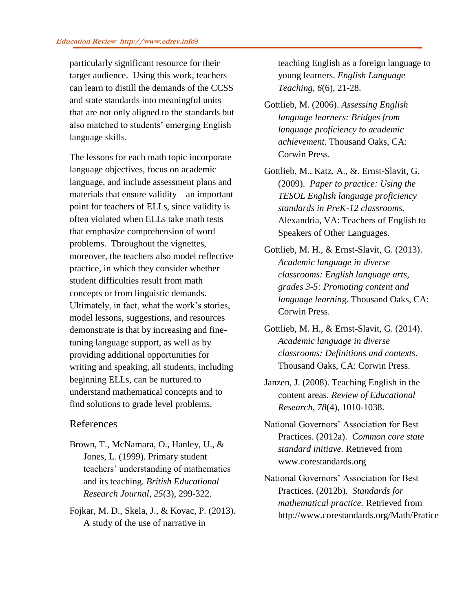particularly significant resource for their target audience. Using this work, teachers can learn to distill the demands of the CCSS and state standards into meaningful units that are not only aligned to the standards but also matched to students' emerging English language skills.

The lessons for each math topic incorporate language objectives, focus on academic language, and include assessment plans and materials that ensure validity—an important point for teachers of ELLs, since validity is often violated when ELLs take math tests that emphasize comprehension of word problems. Throughout the vignettes, moreover, the teachers also model reflective practice, in which they consider whether student difficulties result from math concepts or from linguistic demands. Ultimately, in fact, what the work's stories, model lessons, suggestions, and resources demonstrate is that by increasing and finetuning language support, as well as by providing additional opportunities for writing and speaking, all students, including beginning ELLs, can be nurtured to understand mathematical concepts and to find solutions to grade level problems.

### References

- Brown, T., McNamara, O., Hanley, U., & Jones, L. (1999). Primary student teachers' understanding of mathematics and its teaching. *British Educational Research Journal*, *25*(3), 299-322.
- Fojkar, M. D., Skela, J., & Kovac, P. (2013). A study of the use of narrative in

teaching English as a foreign language to young learners. *English Language Teaching, 6*(6), 21-28.

- Gottlieb, M. (2006). *Assessing English language learners: Bridges from language proficiency to academic achievement.* Thousand Oaks, CA: Corwin Press.
- Gottlieb, M., Katz, A., &. Ernst-Slavit, G. (2009). *Paper to practice: Using the TESOL English language proficiency standards in PreK-12 classrooms.* Alexandria, VA: Teachers of English to Speakers of Other Languages.
- Gottlieb, M. H., & Ernst-Slavit, G. (2013). *[Academic language in diverse](http://www.amazon.com/Academic-Language-Diverse-Classrooms-Mathematics/dp/1452234825/ref=sr_1_1?s=books&ie=UTF8&qid=1391091922&sr=1-1&keywords=academic+language+in+diverse+classrooms)  [classrooms: English language arts,](http://www.amazon.com/Academic-Language-Diverse-Classrooms-Mathematics/dp/1452234825/ref=sr_1_1?s=books&ie=UTF8&qid=1391091922&sr=1-1&keywords=academic+language+in+diverse+classrooms)  [grades 3-5: Promoting content and](http://www.amazon.com/Academic-Language-Diverse-Classrooms-Mathematics/dp/1452234825/ref=sr_1_1?s=books&ie=UTF8&qid=1391091922&sr=1-1&keywords=academic+language+in+diverse+classrooms)  [language learnin](http://www.amazon.com/Academic-Language-Diverse-Classrooms-Mathematics/dp/1452234825/ref=sr_1_1?s=books&ie=UTF8&qid=1391091922&sr=1-1&keywords=academic+language+in+diverse+classrooms)*g. Thousand Oaks, CA: Corwin Press.
- Gottlieb, M. H., & Ernst-Slavit, G. (2014). *Academic language in diverse classrooms: Definitions and contexts*. Thousand Oaks, CA: Corwin Press.
- Janzen, J. (2008). Teaching English in the content areas. *Review of Educational Research, 78*(4), 1010-1038.
- National Governors' Association for Best Practices. (2012a). *Common core state standard initiave.* Retrieved from [www.corestandards.org](http://www.corestandards.org/)
- National Governors' Association for Best Practices. (2012b). *Standards for mathematical practice.* Retrieved from [http://www.corestandards.org/Math/Pratice](http://www.corestandards.org/Math/Practice)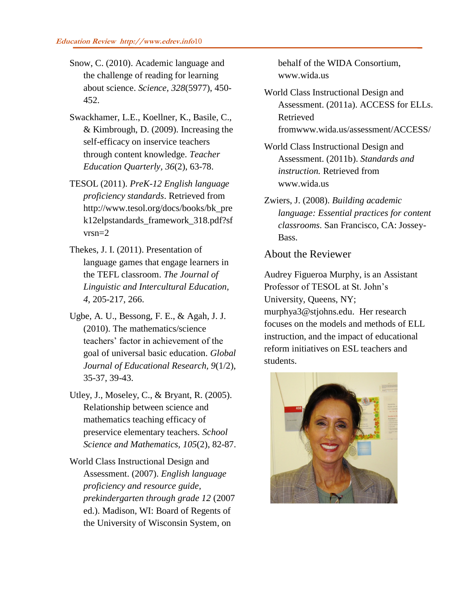- Snow, C. (2010). Academic language and the challenge of reading for learning about science. *Science, 328*(5977), 450- 452.
- Swackhamer, L.E., Koellner, K., Basile, C., & Kimbrough, D. (2009). Increasing the self-efficacy on inservice teachers through content knowledge. *Teacher Education Quarterly, 36*(2), 63-78.
- TESOL (2011). *PreK-12 English language proficiency standards*. Retrieved from http://www.tesol.org/docs/books/bk\_pre k12elpstandards\_framework\_318.pdf?sf vrsn=2
- Thekes, J. I. (2011). Presentation of language games that engage learners in the TEFL classroom. *The Journal of Linguistic and Intercultural Education, 4*, 205-217, 266.
- Ugbe, A. U., Bessong, F. E., & Agah, J. J. (2010). The mathematics/science teachers' factor in achievement of the goal of universal basic education. *Global Journal of Educational Research, 9*(1/2), 35-37, 39-43.
- Utley, J., Moseley, C., & Bryant, R. (2005). Relationship between science and mathematics teaching efficacy of preservice elementary teachers. *School Science and Mathematics, 105*(2), 82-87.
- World Class Instructional Design and Assessment. (2007). *English language proficiency and resource guide, prekindergarten through grade 12* (2007 ed.). Madison, WI: Board of Regents of the University of Wisconsin System, on

behalf of the WIDA Consortium, [www.wida.us](http://www.wida.us/)

World Class Instructional Design and Assessment. (2011a). ACCESS for ELLs. Retrieved fro[mwww.wida.us/assessment/ACCESS/](http://www.wida.us/assessment/ACCESS/)

- World Class Instructional Design and Assessment. (2011b). *Standards and instruction.* Retrieved from [www.wida.us](http://www.wida.us/)
- Zwiers, J. (2008). *Building academic language: Essential practices for content classrooms*. San Francisco, CA: Jossey-Bass.

About the Reviewer

Audrey Figueroa Murphy, is an Assistant Professor of TESOL at St. John's University, Queens, NY; [murphya3@stjohns.edu.](mailto:murphya3@stjohns.edu)Her research focuses on the models and methods of ELL instruction, and the impact of educational reform initiatives on ESL teachers and students.